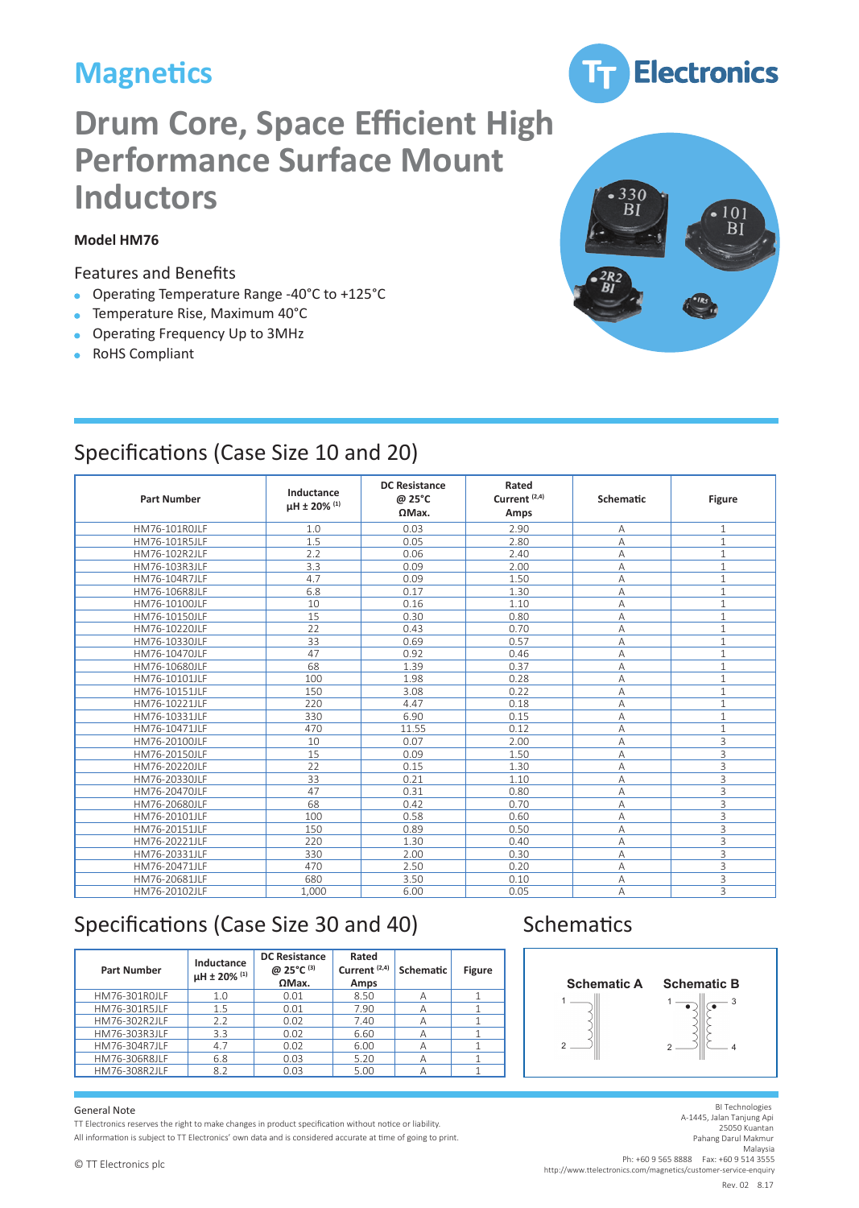# **Magnetics**

# **Drum Core, Space Efficient High Performance Surface Mount Inductors**

### **Model HM76**

#### Features and Benefits

- Operating Temperature Range -40°C to +125°C  $\bullet$
- Temperature Rise, Maximum 40°C  $\bullet$
- Operating Frequency Up to 3MHz
- RoHS Compliant



**Electronics** 

## Specifications (Case Size 10 and 20)

| <b>Part Number</b> | Inductance<br>$\mu$ H ± 20% (1) | <b>DC Resistance</b><br>@ 25°C<br>$\Omega$ Max. | Rated<br>Current <sup>(2,4)</sup><br>Amps | Schematic      | <b>Figure</b>  |  |
|--------------------|---------------------------------|-------------------------------------------------|-------------------------------------------|----------------|----------------|--|
| HM76-101R0JLF      | 1.0                             | 0.03                                            | 2.90                                      | А              | $\mathbf{1}$   |  |
| HM76-101R5JLF      | 1.5                             | 0.05                                            | 2.80                                      | $\overline{A}$ | $\mathbf{1}$   |  |
| HM76-102R2JLF      | 2.2                             | 0.06                                            | 2.40                                      | А              | $\mathbf{1}$   |  |
| HM76-103R3JLF      | 3.3                             | 0.09                                            | 2.00                                      | A              | $\mathbf{1}$   |  |
| HM76-104R7JLF      | 4.7                             | 0.09                                            | 1.50                                      | Α              | $\mathbf{1}$   |  |
| HM76-106R8JLF      | 6.8                             | 0.17                                            | 1.30                                      | $\overline{A}$ | $\mathbf{1}$   |  |
| HM76-10100JLF      | 10                              | 0.16                                            | 1.10                                      | $\overline{A}$ | $\mathbf{1}$   |  |
| HM76-10150JLF      | 15                              | 0.30                                            | 0.80                                      | A              | $\mathbf{1}$   |  |
| HM76-10220JLF      | 22                              | 0.43                                            | 0.70                                      | Α              | $\mathbf{1}$   |  |
| HM76-10330JLF      | 33                              | 0.69                                            | 0.57                                      | $\overline{A}$ | $\overline{1}$ |  |
| HM76-10470JLF      | 47                              | 0.92                                            | 0.46                                      | $\overline{A}$ | $\overline{1}$ |  |
| HM76-10680JLF      | 68                              | 1.39                                            | 0.37                                      | A              | $\mathbf{1}$   |  |
| HM76-10101JLF      | 100                             | 1.98                                            | 0.28                                      | A              | $\mathbf{1}$   |  |
| HM76-10151JLF      | 150                             | 3.08                                            | 0.22                                      | A              | $\mathbf{1}$   |  |
| HM76-10221JLF      | 220                             | 4.47                                            | 0.18                                      | A              | $\mathbf{1}$   |  |
| HM76-10331JLF      | 330                             | 6.90                                            | 0.15                                      | А              | $\mathbf{1}$   |  |
| HM76-10471JLF      | 470                             | 11.55                                           | 0.12                                      | A              | $\mathbf{1}$   |  |
| HM76-20100JLF      | 10                              | 0.07                                            | 2.00                                      | А              | 3              |  |
| HM76-20150JLF      | 15                              | 0.09                                            | 1.50                                      | А              | 3              |  |
| HM76-20220JLF      | 22                              | 0.15                                            | 1.30                                      | А              | 3              |  |
| HM76-20330JLF      | 33                              | 0.21                                            | 1.10                                      | A              | 3              |  |
| HM76-20470JLF      | 47                              | 0.31                                            | 0.80                                      | А              | 3              |  |
| HM76-20680JLF      | 68                              | 0.42                                            | 0.70                                      | A              | 3              |  |
| HM76-20101JLF      | 100                             | 0.58                                            | 0.60                                      | A              | 3              |  |
| HM76-20151JLF      | 150                             | 0.89                                            | 0.50                                      | A              | 3              |  |
| HM76-20221JLF      | 220                             | 1.30                                            | 0.40                                      | А              | 3              |  |
| HM76-20331JLF      | 330                             | 2.00                                            | 0.30                                      | A              | 3              |  |
| HM76-20471JLF      | 470                             | 2.50                                            | 0.20                                      | $\overline{A}$ | 3              |  |
| HM76-20681JLF      | 680                             | 3.50                                            | 0.10                                      | Α              | 3              |  |
| HM76-20102JLF      | 1.000                           | 6.00                                            | 0.05                                      | $\overline{A}$ | 3              |  |

## Specifications (Case Size 30 and 40) Schematics

| <b>Part Number</b> | Inductance<br>µH ± 20% (1) | <b>DC Resistance</b><br>@ 25°C (3)<br>$\Omega$ Max. | Rated<br>Current <sup>(2,4)</sup><br>Amps | Schematic | <b>Figure</b> | <b>Schema</b> |
|--------------------|----------------------------|-----------------------------------------------------|-------------------------------------------|-----------|---------------|---------------|
| HM76-301R0JLF      | 1.0                        | 0.01                                                | 8.50                                      | А         |               |               |
| HM76-301R5JLF      | 1.5                        | 0.01                                                | 7.90                                      | А         |               |               |
| HM76-302R2JLF      | 2.2                        | 0.02                                                | 7.40                                      | А         |               |               |
| HM76-303R3JLF      | 3.3                        | 0.02                                                | 6.60                                      | А         |               |               |
| HM76-304R7JLF      | 4.7                        | 0.02                                                | 6.00                                      | А         |               | $\mathcal{D}$ |
| HM76-306R8JLF      | 6.8                        | 0.03                                                | 5.20                                      | А         |               |               |
| HM76-308R2JI F     | 8.2                        | 0.03                                                | 5.00                                      | А         |               |               |

## **Schematics**



#### General Note

ים<br>Part **Inductance of the Current Current (2,5** Part (2,5 Part (2,5 Part (2,5 Part (2,5 Part (2,5 Part 2,5 Part 2,5<br>Part of the right to make changes in product specification without notice or liability.

number we see was the right to make changes in product specification without notice or nability.<br>All information is subject to TT Electronics' own data and is considered accurate at time of going to print.

de Resistance<br>BI Technologies en recuniongles<br>A-1445, Jalan Tanjung Api Malaysia<br>Ph: +60 9 565 8888 Fax: +60 9 514 3555 HM76-101R5JLF 1.5 0.05 2.80 A 1 HM76-101R5JLF 1.5 0.05 2.80 A 1 © TT Electronics plc http://www.ttelectronics.com/magnetics/customer-service-enquiry Hey. 02 8.17 DC Resistance Rated  $\text{Rev. } 02 \quad 8.17$ Rev. 02 8.17 25050 Kuantan Pahang Darul Makmur Malaysia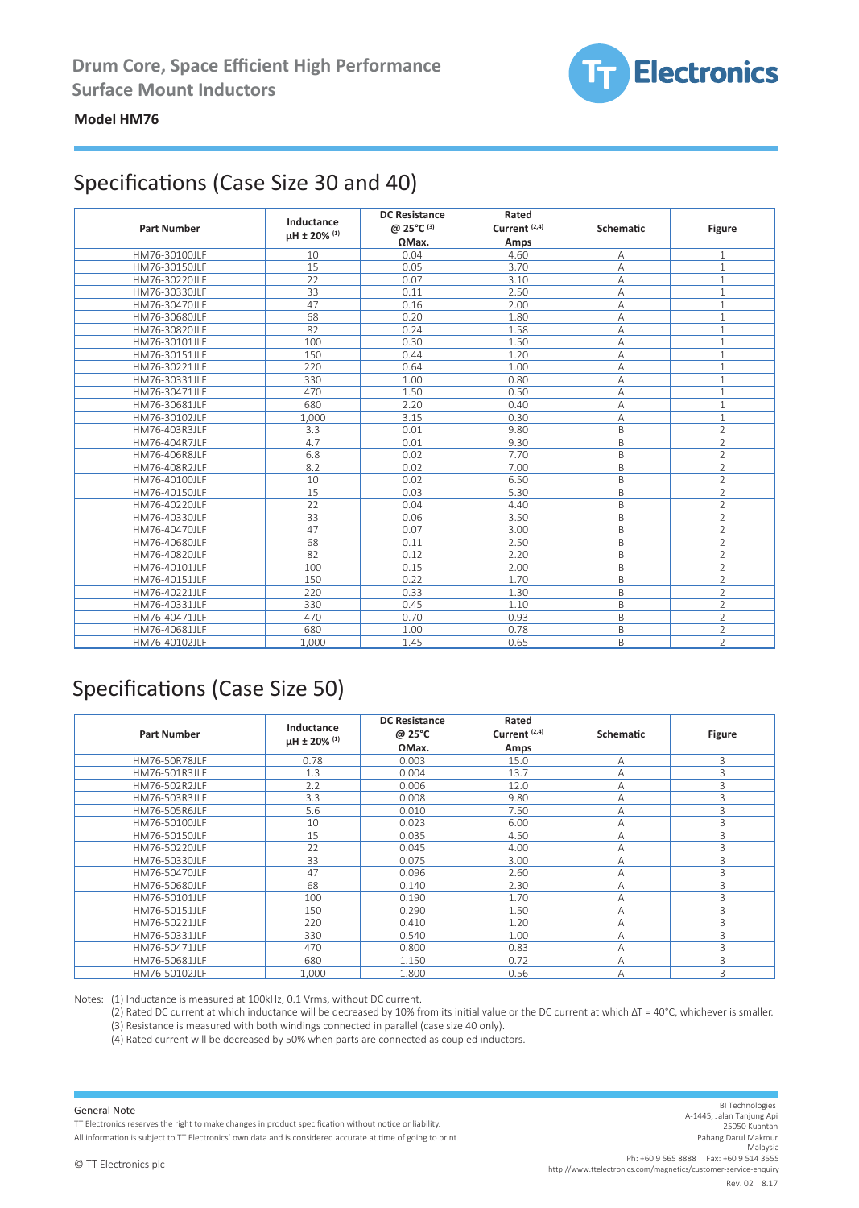

#### **Model HM76**

## Specifications (Case Size 30 and 40)

| <b>Part Number</b> | Inductance<br>uH ± 20% (1) | <b>DC Resistance</b><br>@ 25°C (3)<br>$\Omega$ Max. | Rated<br>Current <sup>(2,4)</sup><br>Amps | Schematic      | <b>Figure</b>  |
|--------------------|----------------------------|-----------------------------------------------------|-------------------------------------------|----------------|----------------|
| HM76-30100JLF      | 10                         | 0.04                                                | 4.60                                      | А              | 1              |
| HM76-30150JLF      | 15                         | 0.05                                                | 3.70                                      | А              | $\mathbf{1}$   |
| HM76-30220JLF      | 22                         | 0.07                                                | 3.10                                      | А              | $\mathbf{1}$   |
| HM76-30330JLF      | 33                         | 0.11                                                | 2.50                                      | A              | $\mathbf{1}$   |
| HM76-30470JLF      | 47                         | 0.16                                                | 2.00                                      | A              | $\mathbf{1}$   |
| HM76-30680JLF      | 68                         | 0.20                                                | 1.80                                      | А              | $\mathbf{1}$   |
| HM76-30820JLF      | 82                         | 0.24                                                | 1.58                                      | А              | $\mathbf{1}$   |
| HM76-30101JLF      | 100                        | 0.30                                                | 1.50                                      | A              | $\mathbf{1}$   |
| HM76-30151JLF      | 150                        | 0.44                                                | 1.20                                      | А              | $\mathbf{1}$   |
| HM76-30221JLF      | 220                        | 0.64                                                | 1.00                                      | $\overline{A}$ | $\mathbf{1}$   |
| HM76-30331JLF      | 330                        | 1.00                                                | 0.80                                      | А              | $\mathbf{1}$   |
| HM76-30471JLF      | 470                        | 1.50                                                | 0.50                                      | А              | $1\,$          |
| HM76-30681JLF      | 680                        | 2.20                                                | 0.40                                      | А              | $\mathbf{1}$   |
| HM76-30102JLF      | 1,000                      | 3.15                                                | 0.30                                      | А              | $\mathbf{1}$   |
| HM76-403R3JLF      | 3.3                        | 0.01                                                | 9.80                                      | B              | $\overline{2}$ |
| HM76-404R7JLF      | 4.7                        | 0.01                                                | 9.30                                      | B              | $\overline{2}$ |
| HM76-406R8JLF      | 6.8                        | 0.02                                                | 7.70                                      | B              | $\overline{2}$ |
| HM76-408R2JLF      | 8.2                        | 0.02                                                | 7.00                                      | B              | $\overline{2}$ |
| HM76-40100JLF      | 10                         | 0.02                                                | 6.50                                      | B              | $\overline{2}$ |
| HM76-40150JLF      | 15                         | 0.03                                                | 5.30                                      | B              | $\overline{2}$ |
| HM76-40220JLF      | 22                         | 0.04                                                | 4.40                                      | B              | $\overline{2}$ |
| HM76-40330JLF      | 33                         | 0.06                                                | 3.50                                      | B              | $\overline{2}$ |
| HM76-40470JLF      | 47                         | 0.07                                                | 3.00                                      | B              | $\overline{2}$ |
| HM76-40680JLF      | 68                         | 0.11                                                | 2.50                                      | B              | $\overline{2}$ |
| HM76-40820JLF      | 82                         | 0.12                                                | 2.20                                      | B              | $\overline{2}$ |
| HM76-40101JLF      | 100                        | 0.15                                                | 2.00                                      | B              | $\overline{2}$ |
| HM76-40151JLF      | 150                        | 0.22                                                | 1.70                                      | B              | $\overline{2}$ |
| HM76-40221JLF      | 220                        | 0.33                                                | 1.30                                      | B              | $\overline{2}$ |
| HM76-40331JLF      | 330                        | 0.45                                                | 1.10                                      | B              | $\overline{2}$ |
| HM76-40471JLF      | 470                        | 0.70                                                | 0.93                                      | B              | $\overline{2}$ |
| HM76-40681JLF      | 680                        | 1.00                                                | 0.78                                      | B              | $\overline{2}$ |
| HM76-40102JLF      | 1,000                      | 1.45                                                | 0.65                                      | B              | $\overline{2}$ |

## Specifications (Case Size 50)

| <b>Part Number</b>   | Inductance<br>µH ± 20% (1) | <b>DC Resistance</b><br>@ 25°C<br>$\Omega$ Max. | Rated<br>Current <sup>(2,4)</sup><br>Amps | Schematic | <b>Figure</b> |
|----------------------|----------------------------|-------------------------------------------------|-------------------------------------------|-----------|---------------|
| <b>HM76-50R78JLF</b> | 0.78                       | 0.003                                           | 15.0                                      | Α         | 3             |
| HM76-501R3JLF        | 1.3                        | 0.004                                           | 13.7                                      | A         | 3             |
| HM76-502R2JLF        | 2.2                        | 0.006                                           | 12.0                                      | A         | 3             |
| HM76-503R3JLF        | 3.3                        | 0.008                                           | 9.80                                      | Α         | 3             |
| HM76-505R6JLF        | 5.6                        | 0.010                                           | 7.50                                      | A         | 3             |
| HM76-50100JLF        | 10                         | 0.023                                           | 6.00                                      | A         | 3             |
| HM76-50150JLF        | 15                         | 0.035                                           | 4.50                                      | A         | 3             |
| HM76-50220JLF        | 22                         | 0.045                                           | 4.00                                      | A         | 3             |
| HM76-50330JLF        | 33                         | 0.075                                           | 3.00                                      | A         | 3             |
| HM76-50470JLF        | 47                         | 0.096                                           | 2.60                                      | A         | 3             |
| HM76-50680JLF        | 68                         | 0.140                                           | 2.30                                      | A         | 3             |
| HM76-50101JLF        | 100                        | 0.190                                           | 1.70                                      | A         | 3             |
| HM76-50151JLF        | 150                        | 0.290                                           | 1.50                                      | A         | 3             |
| HM76-50221JLF        | 220                        | 0.410                                           | 1.20                                      | A         | 3             |
| HM76-50331JLF        | 330                        | 0.540                                           | 1.00                                      | A         | 3             |
| HM76-50471JLF        | 470                        | 0.800                                           | 0.83                                      | A         | 3             |
| HM76-50681JLF        | 680                        | 1.150                                           | 0.72                                      | A         | 3             |
| HM76-50102JLF        | 1.000                      | 1.800                                           | 0.56                                      | A         | 3             |

Notes: (1) Inductance is measured at 100kHz, 0.1 Vrms, without DC current.

(2) Rated DC current at which inductance will be decreased by 10% from its initial value or the DC current at which ΔT = 40°C, whichever is smaller. (3) Resistance is measured with both windings connected in parallel (case size 40 only).

(4) Rated current will be decreased by 50% when parts are connected as coupled inductors.

#### General Note

TT Electronics reserves the right to make changes in product specification without notice or liability.

All information is subject to TT Electronics' own data and is considered accurate at time of going to print.